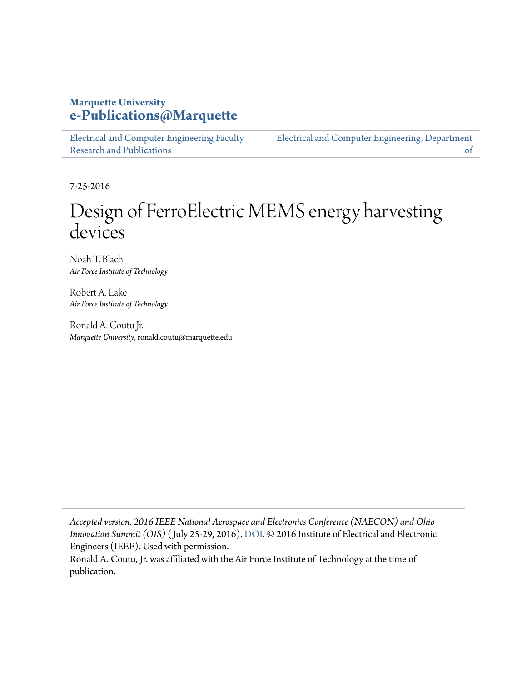#### **Marquette University [e-Publications@Marquette](https://epublications.marquette.edu)**

[Electrical and Computer Engineering Faculty](https://epublications.marquette.edu/electric_fac) [Research and Publications](https://epublications.marquette.edu/electric_fac)

[Electrical and Computer Engineering, Department](https://epublications.marquette.edu/electric) [of](https://epublications.marquette.edu/electric)

7-25-2016

## Design of FerroElectric MEMS energy harvesting devices

Noah T. Blach *Air Force Institute of Technology*

Robert A. Lake *Air Force Institute of Technology*

Ronald A. Coutu Jr. *Marquette University*, ronald.coutu@marquette.edu

*Accepted version. 2016 IEEE National Aerospace and Electronics Conference (NAECON) and Ohio Innovation Summit (OIS)* ( July 25-29, 2016). [DOI](https://doi.org/10.1109/NAECON.2016.7856768). © 2016 Institute of Electrical and Electronic Engineers (IEEE). Used with permission.

Ronald A. Coutu, Jr. was affiliated with the Air Force Institute of Technology at the time of publication.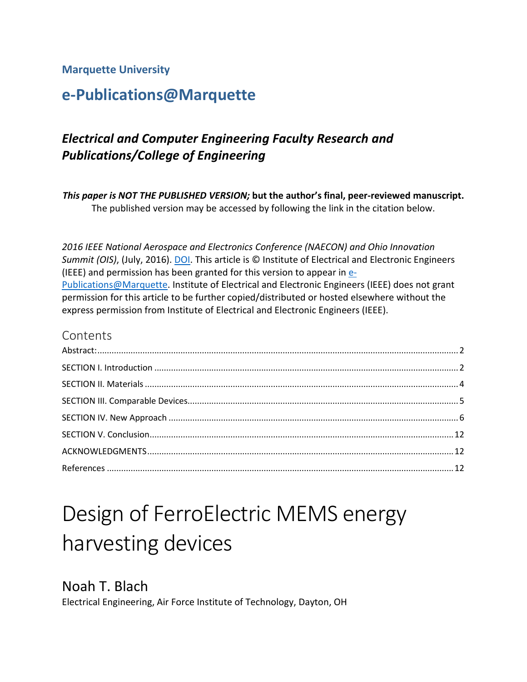#### **Marquette University**

## **e-Publications@Marquette**

## *Electrical and Computer Engineering Faculty Research and Publications/College of Engineering*

*This paper is NOT THE PUBLISHED VERSION;* **but the author's final, peer-reviewed manuscript.**  The published version may be accessed by following the link in the citation below.

*2016 IEEE National Aerospace and Electronics Conference (NAECON) and Ohio Innovation Summit (OIS)*, (July, 2016). [DOI.](https://doi.org/10.1109/NAECON.2016.7856768) This article is © Institute of Electrical and Electronic Engineers (IEEE) and permission has been granted for this version to appear in [e-](http://epublications.marquette.edu/)[Publications@Marquette.](http://epublications.marquette.edu/) Institute of Electrical and Electronic Engineers (IEEE) does not grant permission for this article to be further copied/distributed or hosted elsewhere without the express permission from Institute of Electrical and Electronic Engineers (IEEE).

#### Contents

# Design of FerroElectric MEMS energy harvesting devices

Noah T. Blach Electrical Engineering, Air Force Institute of Technology, Dayton, OH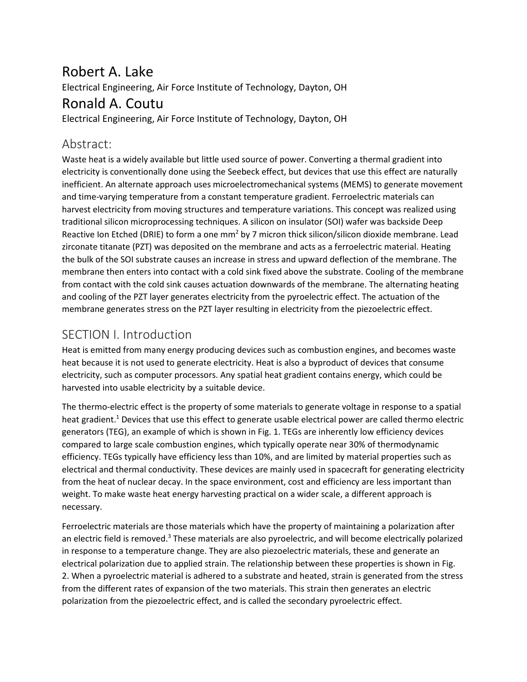## Robert A. Lake

Electrical Engineering, Air Force Institute of Technology, Dayton, OH

## Ronald A. Coutu

<span id="page-2-0"></span>Electrical Engineering, Air Force Institute of Technology, Dayton, OH

#### Abstract:

Waste heat is a widely available but little used source of power. Converting a thermal gradient into electricity is conventionally done using the Seebeck effect, but devices that use this effect are naturally inefficient. An alternate approach uses microelectromechanical systems (MEMS) to generate movement and time-varying temperature from a constant temperature gradient. Ferroelectric materials can harvest electricity from moving structures and temperature variations. This concept was realized using traditional silicon microprocessing techniques. A silicon on insulator (SOI) wafer was backside Deep Reactive Ion Etched (DRIE) to form a one mm<sup>2</sup> by 7 micron thick silicon/silicon dioxide membrane. Lead zirconate titanate (PZT) was deposited on the membrane and acts as a ferroelectric material. Heating the bulk of the SOI substrate causes an increase in stress and upward deflection of the membrane. The membrane then enters into contact with a cold sink fixed above the substrate. Cooling of the membrane from contact with the cold sink causes actuation downwards of the membrane. The alternating heating and cooling of the PZT layer generates electricity from the pyroelectric effect. The actuation of the membrane generates stress on the PZT layer resulting in electricity from the piezoelectric effect.

## <span id="page-2-1"></span>SECTION I. Introduction

Heat is emitted from many energy producing devices such as combustion engines, and becomes waste heat because it is not used to generate electricity. Heat is also a byproduct of devices that consume electricity, such as computer processors. Any spatial heat gradient contains energy, which could be harvested into usable electricity by a suitable device.

The thermo-electric effect is the property of some materials to generate voltage in response to a spatial heat gradient.<sup>1</sup> Devices that use this effect to generate usable electrical power are called thermo electric generators (TEG), an example of which is shown in Fig. 1. TEGs are inherently low efficiency devices compared to large scale combustion engines, which typically operate near 30% of thermodynamic efficiency. TEGs typically have efficiency less than 10%, and are limited by material properties such as electrical and thermal conductivity. These devices are mainly used in spacecraft for generating electricity from the heat of nuclear decay. In the space environment, cost and efficiency are less important than weight. To make waste heat energy harvesting practical on a wider scale, a different approach is necessary.

Ferroelectric materials are those materials which have the property of maintaining a polarization after an electric field is removed.<sup>3</sup> These materials are also pyroelectric, and will become electrically polarized in response to a temperature change. They are also piezoelectric materials, these and generate an electrical polarization due to applied strain. The relationship between these properties is shown in Fig. 2. When a pyroelectric material is adhered to a substrate and heated, strain is generated from the stress from the different rates of expansion of the two materials. This strain then generates an electric polarization from the piezoelectric effect, and is called the secondary pyroelectric effect.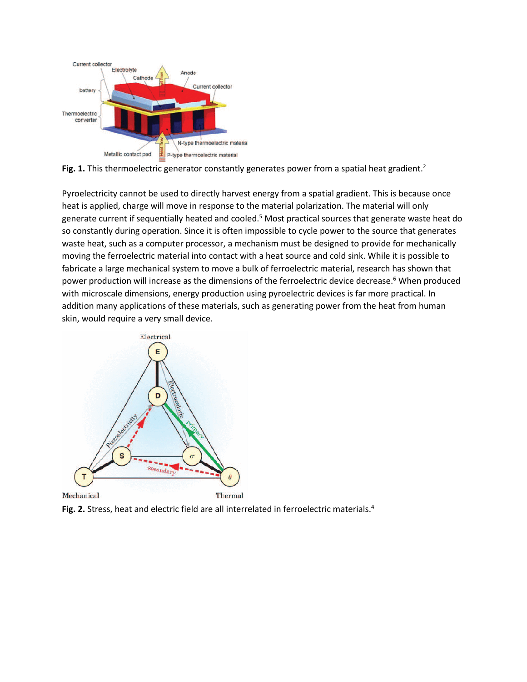

Fig. 1. This thermoelectric generator constantly generates power from a spatial heat gradient.<sup>2</sup>

Pyroelectricity cannot be used to directly harvest energy from a spatial gradient. This is because once heat is applied, charge will move in response to the material polarization. The material will only generate current if sequentially heated and cooled.<sup>5</sup> Most practical sources that generate waste heat do so constantly during operation. Since it is often impossible to cycle power to the source that generates waste heat, such as a computer processor, a mechanism must be designed to provide for mechanically moving the ferroelectric material into contact with a heat source and cold sink. While it is possible to fabricate a large mechanical system to move a bulk of ferroelectric material, research has shown that power production will increase as the dimensions of the ferroelectric device decrease. <sup>6</sup> When produced with microscale dimensions, energy production using pyroelectric devices is far more practical. In addition many applications of these materials, such as generating power from the heat from human skin, would require a very small device.



**Fig. 2.** Stress, heat and electric field are all interrelated in ferroelectric materials. 4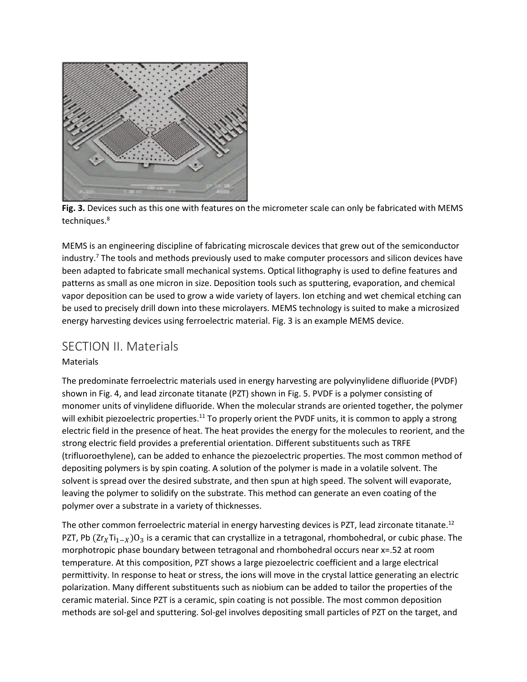

**Fig. 3.** Devices such as this one with features on the micrometer scale can only be fabricated with MEMS techniques. 8

MEMS is an engineering discipline of fabricating microscale devices that grew out of the semiconductor industry. <sup>7</sup> The tools and methods previously used to make computer processors and silicon devices have been adapted to fabricate small mechanical systems. Optical lithography is used to define features and patterns as small as one micron in size. Deposition tools such as sputtering, evaporation, and chemical vapor deposition can be used to grow a wide variety of layers. Ion etching and wet chemical etching can be used to precisely drill down into these microlayers. MEMS technology is suited to make a microsized energy harvesting devices using ferroelectric material. Fig. 3 is an example MEMS device.

#### <span id="page-4-0"></span>SECTION II. Materials

#### **Materials**

The predominate ferroelectric materials used in energy harvesting are polyvinylidene difluoride (PVDF) shown in Fig. 4, and lead zirconate titanate (PZT) shown in Fig. 5. PVDF is a polymer consisting of monomer units of vinylidene difluoride. When the molecular strands are oriented together, the polymer will exhibit piezoelectric properties.<sup>11</sup> To properly orient the PVDF units, it is common to apply a strong electric field in the presence of heat. The heat provides the energy for the molecules to reorient, and the strong electric field provides a preferential orientation. Different substituents such as TRFE (trifluoroethylene), can be added to enhance the piezoelectric properties. The most common method of depositing polymers is by spin coating. A solution of the polymer is made in a volatile solvent. The solvent is spread over the desired substrate, and then spun at high speed. The solvent will evaporate, leaving the polymer to solidify on the substrate. This method can generate an even coating of the polymer over a substrate in a variety of thicknesses.

The other common ferroelectric material in energy harvesting devices is PZT, lead zirconate titanate.<sup>12</sup> PZT, Pb  $(Zr_XTi_{1-X})O_3$  is a ceramic that can crystallize in a tetragonal, rhombohedral, or cubic phase. The morphotropic phase boundary between tetragonal and rhombohedral occurs near x=.52 at room temperature. At this composition, PZT shows a large piezoelectric coefficient and a large electrical permittivity. In response to heat or stress, the ions will move in the crystal lattice generating an electric polarization. Many different substituents such as niobium can be added to tailor the properties of the ceramic material. Since PZT is a ceramic, spin coating is not possible. The most common deposition methods are sol-gel and sputtering. Sol-gel involves depositing small particles of PZT on the target, and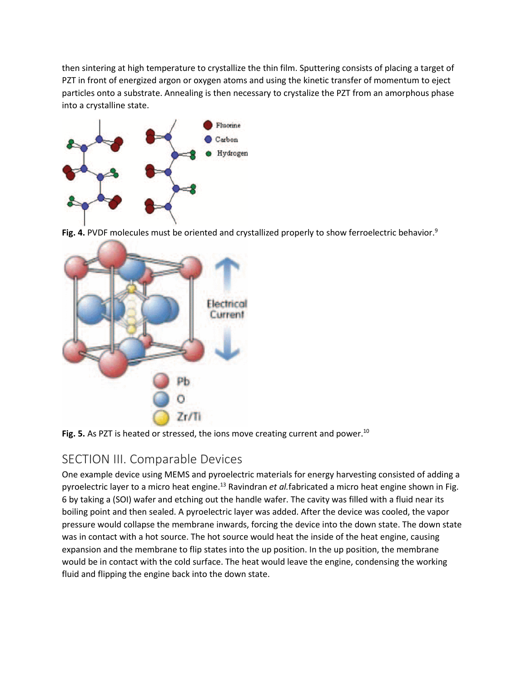then sintering at high temperature to crystallize the thin film. Sputtering consists of placing a target of PZT in front of energized argon or oxygen atoms and using the kinetic transfer of momentum to eject particles onto a substrate. Annealing is then necessary to crystalize the PZT from an amorphous phase into a crystalline state.



**Fig. 4.** PVDF molecules must be oriented and crystallized properly to show ferroelectric behavior.<sup>9</sup>



<span id="page-5-0"></span>

### SECTION III. Comparable Devices

One example device using MEMS and pyroelectric materials for energy harvesting consisted of adding a pyroelectric layer to a micro heat engine.<sup>13</sup> Ravindran *et al.*fabricated a micro heat engine shown in Fig. 6 by taking a (SOI) wafer and etching out the handle wafer. The cavity was filled with a fluid near its boiling point and then sealed. A pyroelectric layer was added. After the device was cooled, the vapor pressure would collapse the membrane inwards, forcing the device into the down state. The down state was in contact with a hot source. The hot source would heat the inside of the heat engine, causing expansion and the membrane to flip states into the up position. In the up position, the membrane would be in contact with the cold surface. The heat would leave the engine, condensing the working fluid and flipping the engine back into the down state.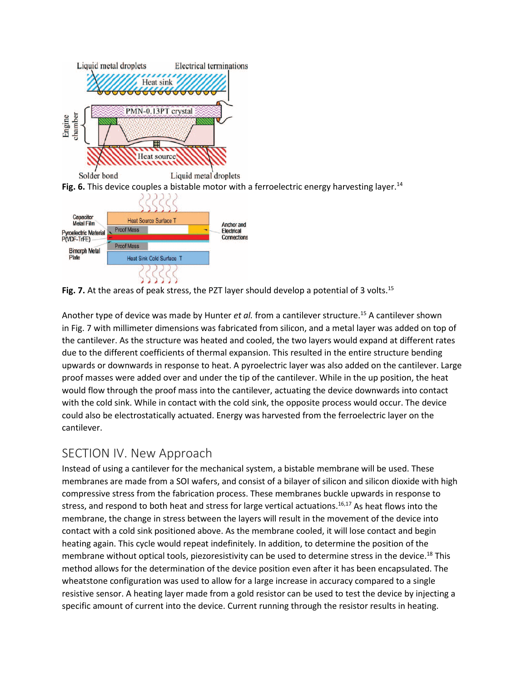

Fig. 7. At the areas of peak stress, the PZT layer should develop a potential of 3 volts.<sup>15</sup>

Another type of device was made by Hunter *et al.* from a cantilever structure. <sup>15</sup> A cantilever shown in Fig. 7 with millimeter dimensions was fabricated from silicon, and a metal layer was added on top of the cantilever. As the structure was heated and cooled, the two layers would expand at different rates due to the different coefficients of thermal expansion. This resulted in the entire structure bending upwards or downwards in response to heat. A pyroelectric layer was also added on the cantilever. Large proof masses were added over and under the tip of the cantilever. While in the up position, the heat would flow through the proof mass into the cantilever, actuating the device downwards into contact with the cold sink. While in contact with the cold sink, the opposite process would occur. The device could also be electrostatically actuated. Energy was harvested from the ferroelectric layer on the cantilever.

#### <span id="page-6-0"></span>SECTION IV. New Approach

Instead of using a cantilever for the mechanical system, a bistable membrane will be used. These membranes are made from a SOI wafers, and consist of a bilayer of silicon and silicon dioxide with high compressive stress from the fabrication process. These membranes buckle upwards in response to stress, and respond to both heat and stress for large vertical actuations.<sup>16,17</sup> As heat flows into the membrane, the change in stress between the layers will result in the movement of the device into contact with a cold sink positioned above. As the membrane cooled, it will lose contact and begin heating again. This cycle would repeat indefinitely. In addition, to determine the position of the membrane without optical tools, piezoresistivity can be used to determine stress in the device.<sup>18</sup> This method allows for the determination of the device position even after it has been encapsulated. The wheatstone configuration was used to allow for a large increase in accuracy compared to a single resistive sensor. A heating layer made from a gold resistor can be used to test the device by injecting a specific amount of current into the device. Current running through the resistor results in heating.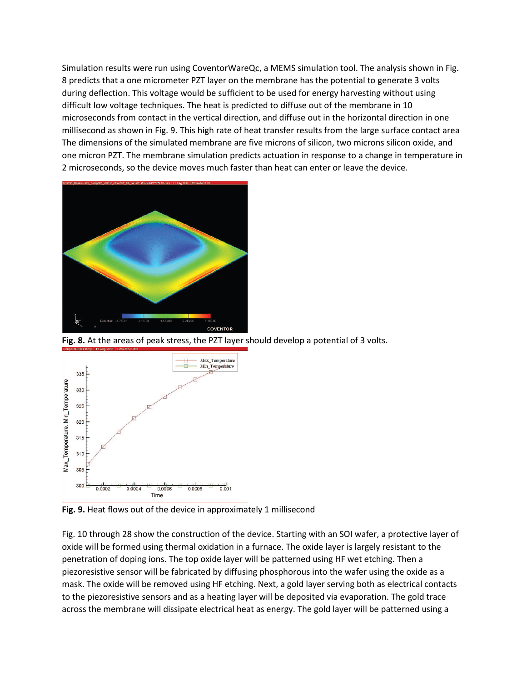Simulation results were run using CoventorWareQc, a MEMS simulation tool. The analysis shown in Fig. 8 predicts that a one micrometer PZT layer on the membrane has the potential to generate 3 volts during deflection. This voltage would be sufficient to be used for energy harvesting without using difficult low voltage techniques. The heat is predicted to diffuse out of the membrane in 10 microseconds from contact in the vertical direction, and diffuse out in the horizontal direction in one millisecond as shown in Fig. 9. This high rate of heat transfer results from the large surface contact area The dimensions of the simulated membrane are five microns of silicon, two microns silicon oxide, and one micron PZT. The membrane simulation predicts actuation in response to a change in temperature in 2 microseconds, so the device moves much faster than heat can enter or leave the device.



**Fig. 8.** At the areas of peak stress, the PZT layer should develop a potential of 3 volts.



**Fig. 9.** Heat flows out of the device in approximately 1 millisecond

Fig. 10 through 28 show the construction of the device. Starting with an SOI wafer, a protective layer of oxide will be formed using thermal oxidation in a furnace. The oxide layer is largely resistant to the penetration of doping ions. The top oxide layer will be patterned using HF wet etching. Then a piezoresistive sensor will be fabricated by diffusing phosphorous into the wafer using the oxide as a mask. The oxide will be removed using HF etching. Next, a gold layer serving both as electrical contacts to the piezoresistive sensors and as a heating layer will be deposited via evaporation. The gold trace across the membrane will dissipate electrical heat as energy. The gold layer will be patterned using a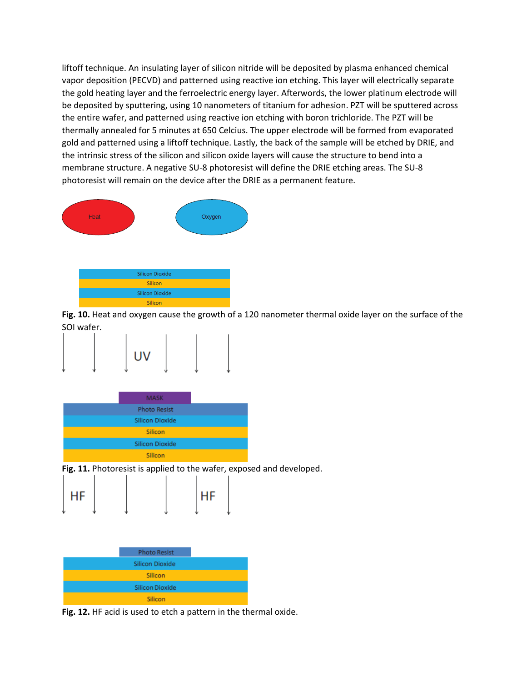liftoff technique. An insulating layer of silicon nitride will be deposited by plasma enhanced chemical vapor deposition (PECVD) and patterned using reactive ion etching. This layer will electrically separate the gold heating layer and the ferroelectric energy layer. Afterwords, the lower platinum electrode will be deposited by sputtering, using 10 nanometers of titanium for adhesion. PZT will be sputtered across the entire wafer, and patterned using reactive ion etching with boron trichloride. The PZT will be thermally annealed for 5 minutes at 650 Celcius. The upper electrode will be formed from evaporated gold and patterned using a liftoff technique. Lastly, the back of the sample will be etched by DRIE, and the intrinsic stress of the silicon and silicon oxide layers will cause the structure to bend into a membrane structure. A negative SU-8 photoresist will define the DRIE etching areas. The SU-8 photoresist will remain on the device after the DRIE as a permanent feature.



**Fig. 10.** Heat and oxygen cause the growth of a 120 nanometer thermal oxide layer on the surface of the SOI wafer.





**Fig. 11.** Photoresist is applied to the wafer, exposed and developed.

| HF |  | HF |  |
|----|--|----|--|
| J  |  |    |  |

| <b>Photo Resist</b>    |  |
|------------------------|--|
| <b>Silicon Dioxide</b> |  |
| Silicon                |  |
| Silicon Dioxide        |  |
| Silicon                |  |

**Fig. 12.** HF acid is used to etch a pattern in the thermal oxide.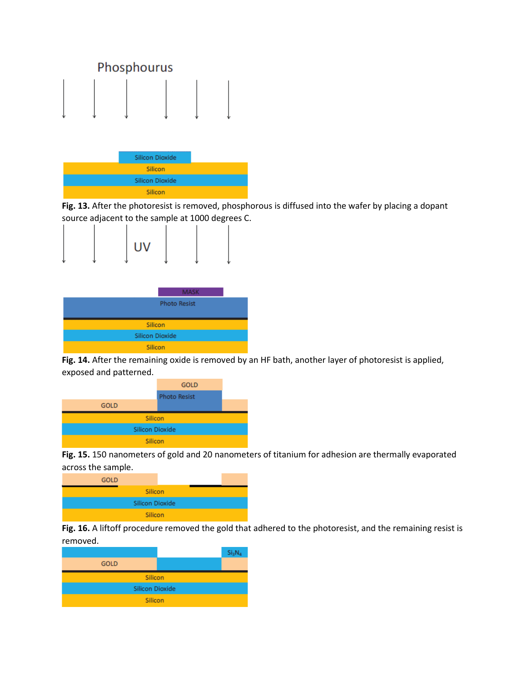

**Fig. 13.** After the photoresist is removed, phosphorous is diffused into the wafer by placing a dopant source adjacent to the sample at 1000 degrees C.





**Fig. 14.** After the remaining oxide is removed by an HF bath, another layer of photoresist is applied, exposed and patterned.







**Fig. 16.** A liftoff procedure removed the gold that adhered to the photoresist, and the remaining resist is removed.

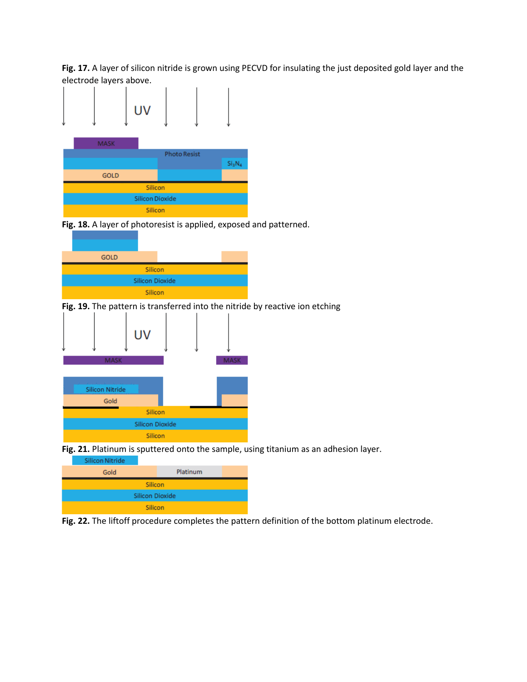**Fig. 17.** A layer of silicon nitride is grown using PECVD for insulating the just deposited gold layer and the electrode layers above.



**Fig. 18.** A layer of photoresist is applied, exposed and patterned.



**Fig. 19.** The pattern is transferred into the nitride by reactive ion etching



**Fig. 21.** Platinum is sputtered onto the sample, using titanium as an adhesion layer.



Silicon

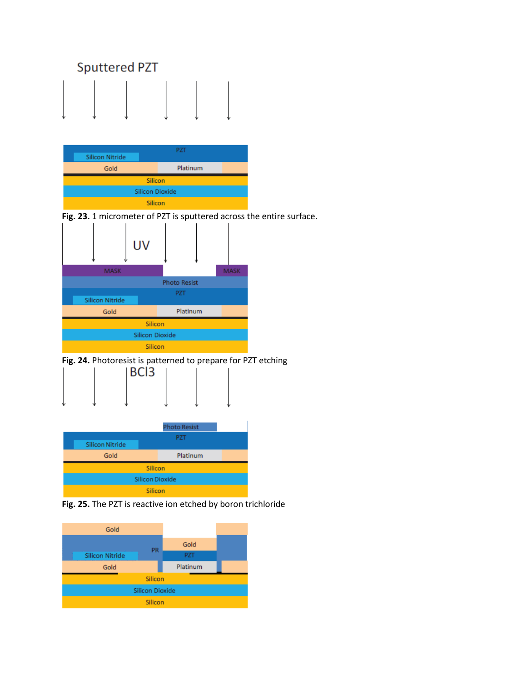



**Fig. 23.** 1 micrometer of PZT is sputtered across the entire surface.



**Fig. 24.** Photoresist is patterned to prepare for PZT etching



|                        | <b>Photo Resist</b> |  |  |  |
|------------------------|---------------------|--|--|--|
|                        | PZT                 |  |  |  |
| <b>Silicon Nitride</b> |                     |  |  |  |
| Gold                   | Platinum            |  |  |  |
| Silicon                |                     |  |  |  |
| <b>Silicon Dioxide</b> |                     |  |  |  |
| Silicon                |                     |  |  |  |

**Fig. 25.** The PZT is reactive ion etched by boron trichloride

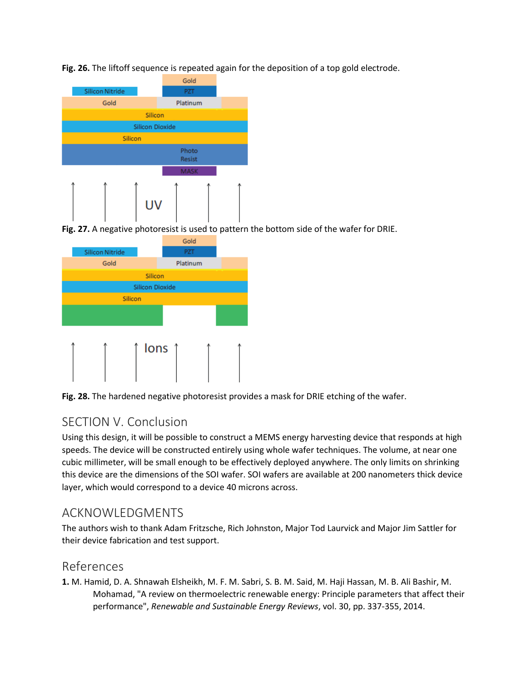**Fig. 26.** The liftoff sequence is repeated again for the deposition of a top gold electrode.



**Fig. 27.** A negative photoresist is used to pattern the bottom side of the wafer for DRIE.



<span id="page-12-0"></span>**Fig. 28.** The hardened negative photoresist provides a mask for DRIE etching of the wafer.

#### SECTION V. Conclusion

Using this design, it will be possible to construct a MEMS energy harvesting device that responds at high speeds. The device will be constructed entirely using whole wafer techniques. The volume, at near one cubic millimeter, will be small enough to be effectively deployed anywhere. The only limits on shrinking this device are the dimensions of the SOI wafer. SOI wafers are available at 200 nanometers thick device layer, which would correspond to a device 40 microns across.

#### <span id="page-12-1"></span>ACKNOWLEDGMENTS

The authors wish to thank Adam Fritzsche, Rich Johnston, Major Tod Laurvick and Major Jim Sattler for their device fabrication and test support.

#### <span id="page-12-2"></span>References

**1.** M. Hamid, D. A. Shnawah Elsheikh, M. F. M. Sabri, S. B. M. Said, M. Haji Hassan, M. B. Ali Bashir, M. Mohamad, "A review on thermoelectric renewable energy: Principle parameters that affect their performance", *Renewable and Sustainable Energy Reviews*, vol. 30, pp. 337-355, 2014.